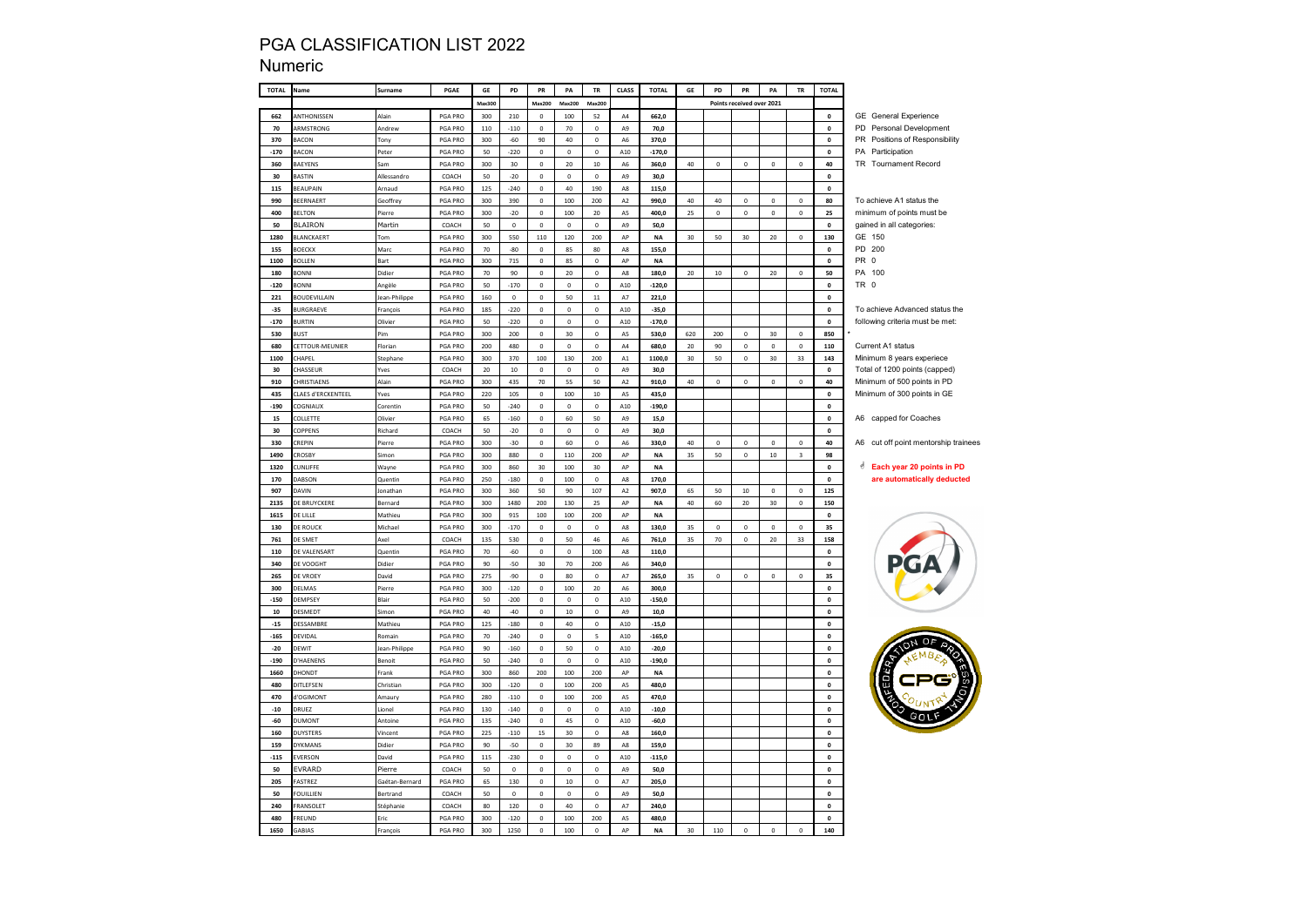### Numeric

| <b>TOTAL</b> | Name                | Surname         | PGAE           | GE     | PD              | PR             | PA          | <b>TR</b>      | <b>CLASS</b>   | <b>TOTAL</b> | GE  | PD          | PR                        | PA           | <b>TR</b>               | <b>TOTAL</b>       |                                                  |
|--------------|---------------------|-----------------|----------------|--------|-----------------|----------------|-------------|----------------|----------------|--------------|-----|-------------|---------------------------|--------------|-------------------------|--------------------|--------------------------------------------------|
|              |                     |                 |                | Max300 |                 | <b>Max200</b>  | Max200      | Max200         |                |              |     |             | Points received over 2021 |              |                         |                    |                                                  |
| 662          | ANTHONISSEN         | Alain           | PGA PRO        | 300    | 210             | $\circ$        | 100         | 52             | AA             | 662,0        |     |             |                           |              |                         | $\mathbf{0}$       | <b>GE</b> General Experience                     |
| 70           | ARMSTRONG           | Andrew          | PGA PRO        | 110    | $-110$          | $\circ$        | 70          | $\mathbf 0$    | A <sub>9</sub> | 70,0         |     |             |                           |              |                         | $\mathbf{0}$       | PD Personal Development                          |
| 370          | <b>BACON</b>        | Tony            | PGA PRO        | 300    | $-60$           | 90             | 40          | $\mathsf{o}\,$ | A6             | 370.0        |     |             |                           |              |                         | $\mathbf{0}$       | PR Positions of Responsibility                   |
| $-170$       | <b>BACON</b>        | Peter           | PGA PRO        | 50     | $-220$          | $\mathbf 0$    | $\pmb{0}$   | 0              | A10            | $-170,0$     |     |             |                           |              |                         | 0                  | PA Participation                                 |
| 360          | <b>BAEYENS</b>      | Sam             | PGA PRO        | 300    | 30 <sub>o</sub> | $\mathsf{o}\,$ | 20          | $10\,$         | A6             | 360,0        | 40  | $\mathbf 0$ | 0                         | $\pmb{0}$    | $\mathbf{0}$            | 40                 | TR Tournament Record                             |
| 30           | <b>BASTIN</b>       | Allessandro     | COACH          | 50     | $-20$           | $\mathbf 0$    | $\pmb{0}$   | $\mathbf 0$    | A9             | 30,0         |     |             |                           |              |                         | $\mathbf 0$        |                                                  |
| 115          | BEAUPAIN            | Arnaud          | PGA PRO        | 125    | $-240$          | $\mathsf{o}\,$ | 40          | 190            | A8             | 115,0        |     |             |                           |              |                         | $\Omega$           |                                                  |
| 990          | BEERNAERT           | <b>Geoffrey</b> | <b>PGA PRO</b> | 300    | 390             | $\mathsf{o}\,$ | 100         | 200            | A2             | 990.0        | 40  | 40          | $\mathbf 0$               | $\mathbf{0}$ | $\mathbf 0$             | 80                 | To achieve A1 status the                         |
| 400          | <b>BELTON</b>       | Pierre          | PGA PRO        | 300    | $-20$           | $\mathbf 0$    | 100         | 20             | A5             | 400,0        | 25  | $\mathbf 0$ | 0                         | $\pmb{0}$    | $\mathbf 0$             | 25                 | minimum of points must be                        |
| 50           | BLAIRON             | Martin          | COACH          | 50     | $\mathbf 0$     | $\mathbf 0$    | $\mathbf 0$ | $\mathbf 0$    | A9             | 50,0         |     |             |                           |              |                         | $\mathbf 0$        | gained in all categories:                        |
| 1280         | BLANCKAERT          | Tom             | PGA PRO        | 300    | 550             | 110            | 120         | 200            | AP             | <b>NA</b>    | 30  | 50          | 30                        | 20           | $\mathbf 0$             | 130                | GE 150                                           |
| 155          | BOECKX              | Marc            | PGA PRO        | 70     | $-80$           | $\mathbf 0$    | 85          | 80             | A8             | 155,0        |     |             |                           |              |                         | $\mathbf{0}$       | PD 200                                           |
| 1100         | <b>BOLLEN</b>       | <b>Bart</b>     | PGA PRO        | 300    | 715             | $\mathbf{0}$   | 85          | $\Omega$       | AP             | <b>NA</b>    |     |             |                           |              |                         | $\Omega$           | PR 0                                             |
| 180          | <b>BONNI</b>        | Didier          | PGA PRO        | 70     | 90              | $\mathbf 0$    | 20          | $\mathbf 0$    | $_{\rm A8}$    | 180,0        | 20  | $10\,$      | $\mathbf 0$               | 20           | $\mathbf 0$             | 50                 | PA<br>100                                        |
| $-120$       | <b>BONNI</b>        | Angèle          | PGA PRO        | 50     | $-170$          | $\mathbf 0$    | $\mathbf 0$ | $\mathbf 0$    | A10            | $-120,0$     |     |             |                           |              |                         | $\mathbf{0}$       | TR 0                                             |
| 221          | <b>BOUDEVILLAIN</b> | Jean-Philippe   | PGA PRO        | 160    | $\mathbf 0$     | 0              | 50          | $\bf{11}$      | A7             | 221,0        |     |             |                           |              |                         | $\mathbf{0}$       |                                                  |
| $-35$        | <b>BURGRAEVE</b>    | François        | PGA PRO        | 185    | 220             | $\circ$        | $\mathbf 0$ | $\mathsf{o}\,$ | A10            | $-35,0$      |     |             |                           |              |                         | $\mathbf{0}$       | To achieve Advanced status the                   |
| $-170$       | <b>JURTIN</b>       | Olivier         | PGA PRO        | $50\,$ | $-220$          | $\mathbf 0$    | $\mathbf 0$ | $\mathbf 0$    | A10            | $-170,0$     |     |             |                           |              |                         | $\mathbf{0}$       | following criteria must be met:                  |
| 530          | <b>RUST</b>         | Pim             | PGA PRO        | 300    | 200             | $\mathbf{0}$   | 30          | $\Omega$       | A <sub>5</sub> | 530.0        | 620 | 200         | $\Omega$                  | 30           | $\Omega$                | 850                |                                                  |
| 680          | ETTOUR-MEUNIER      | Florian         | PGA PRO        | 200    | 480             | $\mathbf 0$    | $\mathbf 0$ | $\mathsf{o}\,$ | ${\sf A4}$     | 680,0        | 20  | 90          | 0                         | $\mathbf{0}$ | $\mathbf 0$             | 110                | Current A1 status                                |
| 1100         | <b>CHAPEL</b>       | Stephane        | PGA PRO        | 300    | 370             | 100            | 130         | 200            | A1             | 1100,0       | 30  | 50          | $\mathsf 0$               | 30           | 33                      | 143                | Minimum 8 years experiece                        |
| 30           | <b>HASSEUR</b>      | Yves            | COACH          | 20     | $10\,$          | $\mathsf{o}\,$ | $\mathbf 0$ | $\mathbf 0$    | A9             | 30,0         |     |             |                           |              |                         | $\mathbf 0$        | Total of 1200 points (capped)                    |
| 910          | <b>HRISTIAENS</b>   | Alair           | <b>PGA PRO</b> | 300    | 435             | 70             | 55          | 50             | A2             | 910,0        | 40  | $\mathbf 0$ | $\mathsf{o}\,$            | $\pmb{0}$    | $\mathbf 0$             | 40                 | Minimum of 500 points in PD                      |
| 435          | CLAES d'ERCKENTEEL  | Yves            | PGA PRO        | 220    | 105             | $\mathbf 0$    | 100         | $10\,$         | A5             | 435,0        |     |             |                           |              |                         | $\mathbf{0}$       | Minimum of 300 points in GE                      |
| $-190$       | COGNIAUX            | Corentin        | PGA PRO        | 50     | $-240$          | $\mathsf{o}\,$ | $\mathbf 0$ | $\mathsf{o}\,$ | A10            | $-190,0$     |     |             |                           |              |                         | $\pmb{\mathsf{o}}$ |                                                  |
| 15           | COLLETTE            | Olivier         | PGA PRO        | 65     | $-160$          | $\mathbf 0$    | 60          | 50             | A9             | 15,0         |     |             |                           |              |                         | $\mathbf 0$        | A6 capped for Coaches                            |
| 30           | COPPENS             | Richard         | COACH          | 50     | $-20$           | 0              | $\mathbf 0$ | $\mathbf 0$    | A9             | 30,0         |     |             |                           |              |                         | $\mathbf{0}$       |                                                  |
| 330          | REPIN               | Pierre          | PGA PRO        | 300    | $-30$           | $\mathbf 0$    | 60          | 0              | A6             | 330,0        | 40  | $\pmb{0}$   | $\mathbf 0$               | $\pmb{0}$    | $\pmb{0}$               | 40                 | A6 cut off point mentorship trainees             |
| 1490         | CROSBY              | Simon           | PGA PRO        | 300    | 880             | $\mathbf 0$    | 110         | $200\,$        | AP             | <b>NA</b>    | 35  | 50          | $\mathbf 0$               | $10\,$       | $\overline{\mathbf{3}}$ | 98                 |                                                  |
| 1320         | <b>CUNLIFFE</b>     | Wayne           | <b>PGA PRO</b> | 300    | 860             | 30             | 100         | 30             | AP             | <b>NA</b>    |     |             |                           |              |                         | $\mathbf 0$        | <b><i><u>A</u></i></b> Each year 20 points in PD |
| 170          | DABSON              | Quentin         | PGA PRO        | 250    | $-180$          | $\mathsf{o}\,$ | 100         | $\mathsf 0$    | A8             | 170,0        |     |             |                           |              |                         | $\mathbf{0}$       | are automatically deducted                       |
| 907          | <b>DAVIN</b>        | Jonathan        | PGA PRO        | 300    | 360             | 50             | 90          | 107            | A <sub>2</sub> | 907,0        | 65  | 50          | $10\,$                    | $\mathbf 0$  | $\mathbf 0$             | 125                |                                                  |
| 2135         | DE BRUYCKERE        | Bernard         | PGA PRO        | 300    | 1480            | 200            | 130         | 25             | AP             | <b>NA</b>    | 40  | 60          | $20\,$                    | 30           | $\pmb{0}$               | 150                |                                                  |
| 1615         | DE LILLE            | Mathieu         | PGA PRO        | 300    | 915             | 100            | 100         | 200            | АP             | <b>NA</b>    |     |             |                           |              |                         | $\pmb{0}$          |                                                  |
| 130          | de Rouck            | Michael         | PGA PRO        | 300    | $-170$          | $\mathsf{o}\,$ | $\mathbf 0$ | $\Omega$       | A <sub>8</sub> | 130,0        | 35  | $\mathbf 0$ | $\Omega$                  | $\Omega$     | $\Omega$                | 35                 |                                                  |
| 761          | DE SMET             | Axel            | COACH          | 135    | 530             | $\mathbf 0$    | 50          | 46             | A6             | 761.0        | 35  | 70          | $\mathbf 0$               | 20           | 33                      | 158                |                                                  |
| 110          | DE VALENSART        | Quentin         | PGA PRO        | 70     | $-60$           | $\mathbf 0$    | $\mathbf 0$ | 100            | $_{\rm A8}$    | 110,0        |     |             |                           |              |                         | $\pmb{0}$          |                                                  |
| 340          | DE VOOGHT           | Didier          | PGA PRO        | 90     | $-50$           | 30             | 70          | 200            | A6             | 340,0        |     |             |                           |              |                         | $\pmb{\mathsf{o}}$ |                                                  |
| 265          | DE VROEY            | David           | PGA PRO        | 275    | -90             | $\mathsf{o}\,$ | 80          | $\mathbf 0$    | A7             | 265,0        | 35  | $\mathbf 0$ | 0                         | $\mathbf 0$  | 0                       | 35                 |                                                  |
| 300          | <b>DELMAS</b>       | Pierre          | PGA PRO        | 300    | $-120$          | $\mathbf 0$    | 100         | $20\,$         | A6             | 300,0        |     |             |                           |              |                         | $\pmb{0}$          |                                                  |
| $-150$       | DEMPSEY             | Blair           | PGA PRO        | 50     | $-200$          | $\mathsf{o}\,$ | $\mathbf 0$ | $\Omega$       | A10            | $-150,0$     |     |             |                           |              |                         | $\Omega$           |                                                  |
| 10           | DESMEDT             | Simon           | PGA PRO        | 40     | $-40$           | $\mathbf 0$    | 10          | 0              | A9             | 10,0         |     |             |                           |              |                         | $\pmb{\mathsf{o}}$ |                                                  |
| $-15$        | DESSAMBRE           | Mathieu         | PGA PRO        | 125    | $-180$          | $\mathbf 0$    | 40          | 0              | A10            | $-15,0$      |     |             |                           |              |                         | $\pmb{\mathsf{o}}$ |                                                  |
| $-165$       | DEVIDAL             | Romain          | PGA PRO        | 70     | $-240$          | $\mathsf{o}\,$ | $\mathbf 0$ | 5              | A10            | $-165,0$     |     |             |                           |              |                         | $\pmb{\mathsf{o}}$ |                                                  |
| $-20$        | <b>DEWIT</b>        | Jean-Philippe   | PGA PRO        | 90     | $-160$          | $\mathbf 0$    | 50          | 0              | A10            | -20,0        |     |             |                           |              |                         | $\pmb{0}$          |                                                  |
| $-190$       | D'HAENENS           | Benoit          | PGA PRO        | 50     | $-240$          | $\mathbf 0$    | $\mathbf 0$ | $\mathsf{o}\,$ | A10            | $-190,0$     |     |             |                           |              |                         | $\mathbf 0$        |                                                  |
| 1660         | <b>DHONDT</b>       | Frank           | <b>PGA PRO</b> | 300    | 860             | 200            | 100         | 200            | AP             | <b>NA</b>    |     |             |                           |              |                         | $\mathbf 0$        |                                                  |
| 480          | DITLEFSEN           | Christian       | PGA PRO        | 300    | $-120$          | $\mathbf 0$    | 100         | 200            | A5             | 480,0        |     |             |                           |              |                         | $\mathbf 0$        |                                                  |
| 470          | <b>'OGIMONT</b>     | Amaury          | PGA PRO        | 280    | $-110$          | $\mathbf 0$    | 100         | 200            | A5             | 470,0        |     |             |                           |              |                         | $\pmb{\mathsf{o}}$ |                                                  |
| $-10$        | RUEZ                | Lionel          | PGA PRO        | 130    | $-140$          | 0              | $\pmb{0}$   | 0              | A10            | $-10,0$      |     |             |                           |              |                         | $\pmb{\mathsf{o}}$ |                                                  |
| $-60$        | <b>DUMONT</b>       | Antoine         | PGA PRO        | 135    | $-240$          | $\mathsf{o}\,$ | 45          | $\mathsf{o}\,$ | A10            | $-60,0$      |     |             |                           |              |                         | $\mathbf{0}$       |                                                  |
| 160          | DUYSTERS            | Vincent         | <b>PGA PRO</b> | 225    | $-110$          | $15\,$         | 30          | $\mathsf{o}$   | A8             | 160,0        |     |             |                           |              |                         | $\pmb{\mathsf{o}}$ |                                                  |
| 159          | DYKMANS             | Didier          | PGA PRO        | 90     | $-50$           | $\mathsf{o}\,$ | 30          | 89             | A <sub>8</sub> | 159.0        |     |             |                           |              |                         | $\pmb{\mathsf{o}}$ |                                                  |
| $-115$       | EVERSON             | David           | PGA PRO        | 115    | 230             | $\mathsf{o}\,$ | $\mathbf 0$ | $\mathsf{o}\,$ | A10            | $-115,0$     |     |             |                           |              |                         | $\pmb{\mathsf{o}}$ |                                                  |
| 50           | EVRARD              | Pierre          | COACH          | 50     | $\mathbf 0$     | $\mathbf 0$    | $\mathbf 0$ | $\mathbf 0$    | A9             | 50,0         |     |             |                           |              |                         | $\mathbf{0}$       |                                                  |
| 205          | ASTREZ              | Gaétan-Bernard  | PGA PRO        | 65     | 130             | $\mathsf{o}\,$ | $10\,$      | $\mathbf 0$    | A7             | 205,0        |     |             |                           |              |                         | $\mathbf{0}$       |                                                  |
| 50           | OUILLIEN            | Bertrand        | COACH          | 50     | $\mathbf 0$     | $\mathbf 0$    | $\mathbf 0$ | $\mathbf 0$    | A9             | 50,0         |     |             |                           |              |                         | $\pmb{0}$          |                                                  |
| 240          | <b>FRANSOLET</b>    | Stéphanie       | COACH          | 80     | 120             | $\mathbf 0$    | 40          | $\mathbf 0$    | A7             | 240.0        |     |             |                           |              |                         | $\pmb{\mathsf{o}}$ |                                                  |
| 480          | REUND               | Eric            | <b>PGA PRO</b> | 300    | $-120$          | $\mathbf 0$    | 100         | 200            | A5             | 480.0        |     |             |                           |              |                         | $\pmb{\mathsf{o}}$ |                                                  |
| 1650         | GABIAS              | Francois        | PGA PRO        | 300    | 1250            | $\theta$       | 100         | 0              | AP             | <b>NA</b>    | 30  | 110         | $\mathbf 0$               | $\mathbf 0$  | $\mathsf{o}\xspace$     | 140                |                                                  |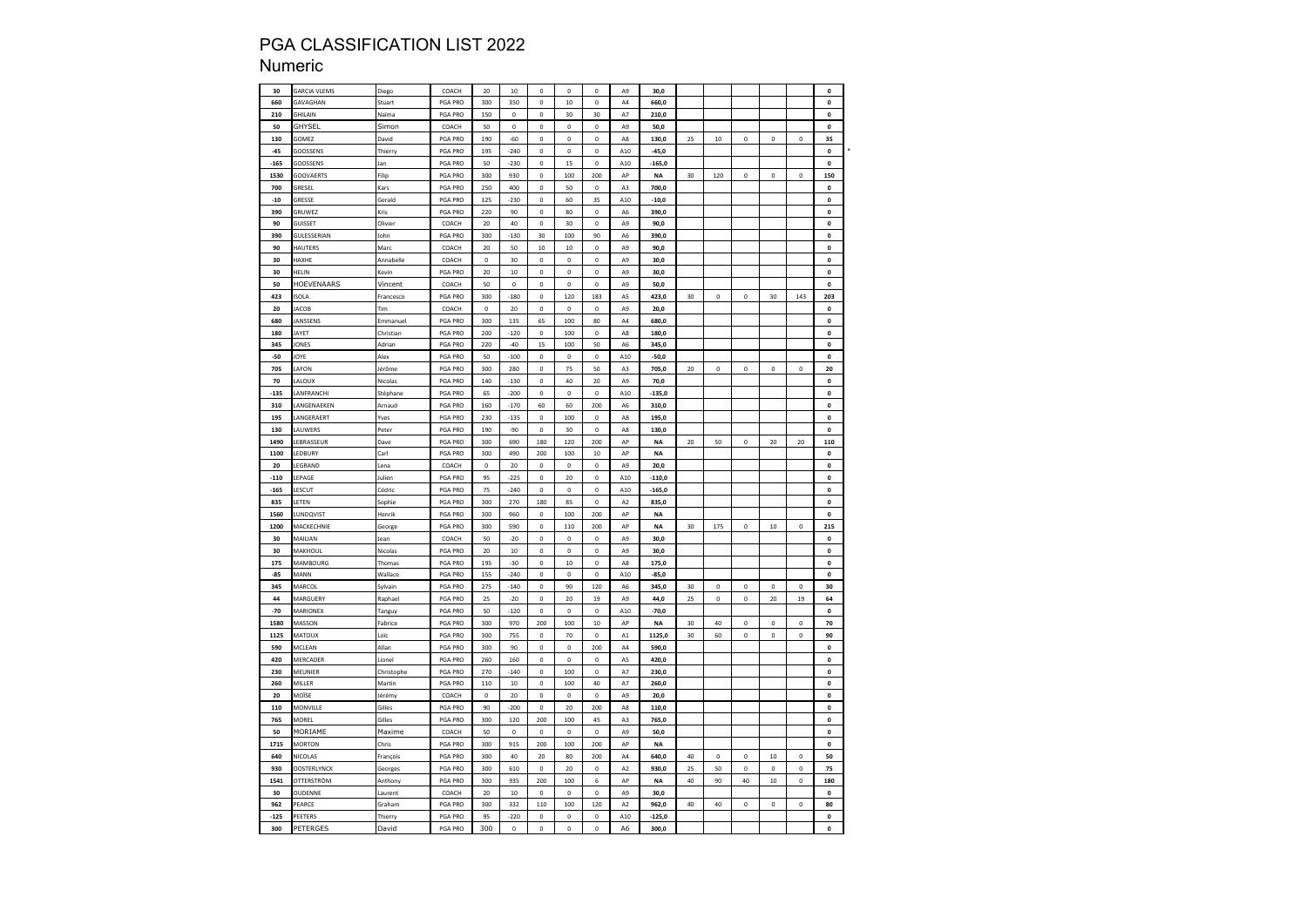### Numeric

| 30              | <b>GARCIA VLEMS</b>   | Diego           | COACH                   | 20           | $10\,$       | $\mathbf 0$   | $\circ$            | $\pmb{0}$         | A9             | 30,0             |    |             |             |             |              | $\mathbf 0$                     |
|-----------------|-----------------------|-----------------|-------------------------|--------------|--------------|---------------|--------------------|-------------------|----------------|------------------|----|-------------|-------------|-------------|--------------|---------------------------------|
| 660             | <b>GAVAGHAN</b>       | Stuart          | <b>PGA PRO</b>          | 300          | 350          | $\mathbf 0$   | 10                 | $\mathbf 0$       | A <sub>4</sub> | 660.0            |    |             |             |             |              | $\mathbf 0$                     |
| 210             | GHILAIN               | Naīma           | PGA PRO                 | 150          | $\pmb{0}$    | $\mathbf 0$   | 30                 | 30                | A7             | 210,0            |    |             |             |             |              | $\pmb{0}$                       |
| 50              | GHYSEL                | Simon           | COACH                   | 50           | $\mathbf{0}$ | $\mathbf 0$   | $\mathbf{0}$       | $\mathbf 0$       | A9             | 50,0             |    |             |             |             |              | $\pmb{0}$                       |
| 130             | GOMEZ                 | David           | PGA PRO                 | 190          | $-60$        | $\mathbf 0$   | $\bf 0$            | $\mathbf 0$       | A8             | 130,0            | 25 | $10\,$      | 0           | 0           | $\mathbf 0$  | 35                              |
| $-45$           | GOOSSENS              | Thierry         | PGA PRO                 | 195          | $-240$       | $\pmb{0}$     | $\mathbf 0$        | $\pmb{0}$         | ${\tt A10}$    | $-45,0$          |    |             |             |             |              | $\pmb{0}$                       |
| $-165$          | <b>GOOSSENS</b>       | lan             | PGA PRO                 | 50           | $-230$       | $\mathbf 0$   | 15                 | $\mathbf 0$       | A10            | $-165.0$         |    |             |             |             |              | $\pmb{\mathsf{o}}$              |
| 1530            | GOOVAERTS             | Filip           | PGA PRO                 | 300          | 930          | $\mathbf 0$   | 100                | 200               | AP             | <b>NA</b>        | 30 | 120         | $\mathbf 0$ | $\pmb{0}$   | $\mathbf 0$  | 150                             |
| 700             | GRESEL                | Kars            | PGA PRO                 | 250          | 400          | $\mathbf 0$   | 50                 | $\mathbf 0$       | A3             | 700,0            |    |             |             |             |              | $\pmb{0}$                       |
|                 |                       |                 |                         |              |              | $\bf{0}$      |                    |                   |                |                  |    |             |             |             |              | $\mathbf 0$                     |
| $-10$<br>390    | GRESSE<br>GRUWEZ      | Gerald<br>Kris  | PGA PRO                 | 125<br>220   | -230<br>90   | $\mathbf 0$   | 60<br>80           | 35<br>$\mathbf 0$ | A10            | $-10,0$<br>390,0 |    |             |             |             |              | $\pmb{0}$                       |
| 90              |                       |                 | PGA PRO                 | 20           | 40           | $\Omega$      | 30                 | $\Omega$          | A6             |                  |    |             |             |             |              | $\mathbf{0}$                    |
|                 | <b>GUISSET</b>        | Olivier         | COACH                   |              |              |               |                    |                   | A9             | 90.0             |    |             |             |             |              |                                 |
| 390             | GULESSERIAN           | John            | PGA PRO                 | 300          | $-130$       | 30            | 100                | 90                | A <sub>6</sub> | 390,0            |    |             |             |             |              | $\pmb{\mathsf{o}}$              |
| 90              | HAUTERS               | Marc            | COACH                   | 20           | 50           | 10            | 10                 | $\mathbf 0$       | A9             | 90,0             |    |             |             |             |              | $\pmb{\mathsf{o}}$              |
| 30              | HAXHE                 | Annabelle       | COACH                   | $\mathbf{0}$ | 30           | $\mathbf 0$   | $\pmb{0}$          | $\mathbf 0$       | A9             | 30,0             |    |             |             |             |              | $\mathbf 0$                     |
| 30              | HELIN                 | Kevin           | PGA PRO                 | 20           | $10\,$       | $\mathbf 0$   | $\pmb{0}$          | $\mathbf 0$       | A9             | 30,0             |    |             |             |             |              | $\pmb{0}$                       |
| 50              | HOEVENAARS            | Vincent         | COACH                   | 50           | $\Omega$     | $\mathbf 0$   | $\theta$           | $\mathbf 0$       | A9             | 50,0             |    |             |             |             |              | $\pmb{\mathsf{o}}$              |
| 423             | SOLA                  | Francesco       | PGA PRO                 | 300          | $-180$       | $\mathbf 0$   | 120                | 183               | A5             | 423,0            | 30 | $\mathbf 0$ | $\mathbf 0$ | 30          | 143          | 203                             |
| 20              | ACOB                  | Tim             | COACH                   | $\mathbf 0$  | 20           | $\bf{0}$      | $\pmb{0}$          | $\pmb{0}$         | A9             | 20,0             |    |             |             |             |              | $\mathbf 0$                     |
| 680             | <b>ANSSENS</b>        | Emmanuel        | PGA PRO                 | 300          | 135          | 65            | 100                | 80                | A4             | 680,0            |    |             |             |             |              | $\pmb{\mathsf{o}}$              |
| 180             | AYET                  | Christian       | PGA PRO                 | 200          | $-120$       | $\mathbf 0$   | 100                | $\mathbf 0$       | A8             | 180,0            |    |             |             |             |              | $\pmb{0}$                       |
| 345             | <b>ONES</b>           | Adrian          | PGA PRO                 | 220          | $-40$        | 15            | 100                | 50                | A <sub>6</sub> | 345,0            |    |             |             |             |              | $\pmb{0}$                       |
| $-50$           | <b>IOYE</b>           | Alex            | PGA PRO                 | 50           | $-100$       | $\Omega$      | $\Omega$           | $\Omega$          | A10            | $-50,0$          |    |             |             |             |              | $\Omega$                        |
| 705             | AFON                  | Jérôme          | PGA PRO                 | 300          | 280          | $\mathbf 0$   | 75                 | 50                | A <sub>3</sub> | 705,0            | 20 | $\mathbf 0$ | $\mathbf 0$ | $\pmb{0}$   | $\mathbf 0$  | 20                              |
| 70              | ALOUX                 | Nicolas         | PGA PRO                 | 140          | $-130$       | 0             | 40                 | 20                | A9             | 70,0             |    |             |             |             |              | $\pmb{0}$                       |
| -135            | ANFRANCHI             | Stéphane        | PGA PRO                 | 65           | $-200$       | $\mathbf 0$   | $\circ$            | $\mathbf 0$       | A10            | $-135,0$         |    |             |             |             |              | $\pmb{\mathsf{o}}$              |
| 310             | ANGENAEKEN            | Arnaud          | PGA PRO                 | 160          | $-170$       | 60            | 60                 | 200               | A6             | 310,0            |    |             |             |             |              | $\pmb{0}$                       |
| 195             | ANGERAERT             | Yves            | PGA PRO                 | 230          | $-135$       | $\mathbf 0$   | 100                | $\mathbf 0$       | A8             | 195,0            |    |             |             |             |              | $\pmb{0}$                       |
| 130             | AUWERS                | Peter           | <b>PGA PRO</b>          | 190          | $-90$        | $\mathbf 0$   | 30                 | $\mathbf 0$       | A <sub>8</sub> | 130.0            |    |             |             |             |              | $\mathbf{0}$                    |
| 1490            | EBRASSEUR             | Dave            | PGA PRO                 | 300          | 690          | 180           | 120                | 200               | AP             | <b>NA</b>        | 20 | 50          | $\mathbf 0$ | 20          | 20           | 110                             |
| 1100            | EDBURY                | Carl            | PGA PRO                 | 300          | 490          | 200           | 100                | 10                | AP             | <b>NA</b>        |    |             |             |             |              | $\pmb{\mathsf{o}}$              |
| 20              | EGRAND                | ena             | COACH                   | 0            | 20           | 0             | $\mathbf 0$        | 0                 | A9             | 20,0             |    |             |             |             |              | $\pmb{\mathsf{o}}$              |
| $\textbf{-110}$ | EPAGE                 | Julien          | PGA PRO                 | 95           | $-225$       | $\pmb{0}$     | $20\,$             | $\pmb{0}$         | ${\tt A10}$    | $-110,0$         |    |             |             |             |              | $\pmb{0}$                       |
| $-165$          | ESCUT                 | Cédric          | PGA PRO                 | 75           | $-240$       | $\mathbf 0$   | $\circ$            | $\mathbf 0$       | A10            | $-165.0$         |    |             |             |             |              | $\mathbf{0}$                    |
| 835             | ETEN                  | Sophie          | PGA PRO                 | 300          | 270          | 180           | 85                 | $\mathbf 0$       | A <sub>2</sub> | 835,0            |    |             |             |             |              | $\mathbf 0$                     |
| 1560            | <b>UNDQVIST</b>       | Henrik          | PGA PRO                 | 300          | 960          | $\mathbf 0$   | 100                | 200               | AP             | <b>NA</b>        |    |             |             |             |              | $\pmb{\mathsf{o}}$              |
|                 |                       |                 |                         |              |              | $\bf{0}$      |                    |                   | AP             |                  | 30 |             | $\theta$    |             | $\mathbf 0$  |                                 |
| 1200<br>30      | MACKECHNIE<br>MAILIAN | George          | PGA PRO                 | 300<br>50    | 590          | $\mathbf 0$   | 110<br>$\mathbf 0$ | 200               | A9             | NA               |    | 175         |             | $10\,$      |              | 215<br>$\pmb{0}$                |
| 30              | MAKHOUL               | Jean<br>Nicolas | COACH<br><b>PGA PRO</b> | 20           | $-20$<br>10  | $\Omega$      | $\Omega$           | 0<br>$\Omega$     | A9             | 30,0<br>30.0     |    |             |             |             |              |                                 |
| 175             | MAMBOURG              |                 | PGA PRO                 | 195          | $-30$        | $\mathbf 0$   | 10                 | $\mathbf 0$       | A <sub>8</sub> | 175,0            |    |             |             |             |              | $\pmb{0}$<br>$\pmb{\mathsf{o}}$ |
|                 |                       | Thomas          |                         |              |              |               |                    |                   |                |                  |    |             |             |             |              |                                 |
| -85             | MANN                  | Wallace         | PGA PRO                 | 155          | $-240$       | 0             | $\pmb{0}$          | $\mathbf 0$       | A10            | $-85,0$          |    |             |             |             |              | $\pmb{0}$                       |
| 345             | MARCOL                | sylvain         | PGA PRO                 | 275          | $-140$       | 0             | 90                 | 120               | A6             | 345,0            | 30 | $\mathbf 0$ | $\mathbf 0$ | $\mathbf 0$ | $\mathbf 0$  | 30                              |
| 44              | MARGUERY              | Raphael         | PGA PRO                 | 25<br>50     | $-20$        | 0<br>$\Omega$ | 20<br>$\theta$     | 19<br>$\Omega$    | A9             | 44,0             | 25 | 0           | 0           | 20          | 19           | 64                              |
| $-70$           | MARIONEX              | Tanguy          | PGA PRO                 |              | $-120$       |               |                    |                   | A10            | $-70.0$          |    |             |             |             |              | $\pmb{\mathsf{o}}$              |
| 1580            | MASSON                | Fabrice         | PGA PRO                 | 300          | 970          | 200           | 100                | 10                | AP             | <b>NA</b>        | 30 | 40          | $\mathbf 0$ | $\mathbf 0$ | $\mathbf{0}$ | 70                              |
| 1125            | MATOUX                | .oīc            | PGA PRO                 | 300          | 755          | $\mathbf 0$   | 70                 | $\mathbf 0$       | A1             | 1125,0           | 30 | 60          | $\mathbf 0$ | $\mathbf 0$ | $\mathbf 0$  | 90                              |
| 590             | MCLEAN                | Allan           | PGA PRO                 | 300          | 90           | $\mathbf 0$   | $\pmb{0}$          | 200               | A4             | 590,0            |    |             |             |             |              | $\pmb{\mathsf{o}}$              |
| 420             | MERCADER              | Lionel          | PGA PRO                 | 260          | 160          | 0             | $\mathbf{0}$       | 0                 | A5             | 420,0            |    |             |             |             |              | $\mathbf{0}$                    |
| 230             | MEUNIER               | Christophe      | PGA PRO                 | 270          | $-140$       | $\mathbf 0$   | 100                | $\mathbf 0$       | A7             | 230,0            |    |             |             |             |              | $\pmb{\mathsf{o}}$              |
| 260             | MILLER                | Martin          | PGA PRO                 | 110          | 10           | $\mathbf 0$   | 100                | 40                | A7             | 260,0            |    |             |             |             |              | $\pmb{\mathsf{o}}$              |
| 20              | MOÏSE                 | Jérémy          | COACH                   | $\pmb{0}$    | 20           | $\mathbf 0$   | $\pmb{0}$          | $\mathbf 0$       | A9             | 20,0             |    |             |             |             |              | $\mathbf 0$                     |
|                 |                       |                 |                         |              |              |               | 20                 | 200               | A8             | 110,0            |    |             |             |             |              | $\pmb{0}$                       |
| 110             | MONVILLE              | Gilles          | PGA PRO                 | 90           | $-200$       | $\mathbf 0$   |                    |                   |                |                  |    |             |             |             |              |                                 |
| 765             | MOREL                 | Gilles          | PGA PRO                 | 300          | 120          | 200           | 100                | 45                | A3             | 765,0            |    |             |             |             |              | $\mathbf{0}$                    |
| 50              | MORIAME               | Maxime          | COACH                   | 50           | $\pmb{0}$    | $\mathbf 0$   | $\pmb{0}$          | $\mathbf 0$       | A9             | 50,0             |    |             |             |             |              | $\pmb{0}$                       |
| 1715            | <b>MORTON</b>         | Chris           | PGA PRO                 | 300          | 915          | 200           | 100                | 200               | AP             | <b>NA</b>        |    |             |             |             |              | $\pmb{\mathsf{o}}$              |
| 640             | NICOLAS               | François        | PGA PRO                 | 300          | 40           | 20            | 80                 | 200               | A <sub>4</sub> | 640.0            | 40 | $\mathbf 0$ | $\mathbf 0$ | 10          | $\mathbf 0$  | 50                              |
| 930             | OOSTERLYNCK           | Georges         | PGA PRO                 | 300          | 610          | $\pmb{0}$     | 20                 | 0                 | A <sub>2</sub> | 930,0            | 25 | 50          | $\mathbf 0$ | $\circ$     | $\mathbf 0$  | 75                              |
| 1541            | OTTERSTRÖM            | Anthony         | PGA PRO                 | 300          | 935          | 200           | 100                | 6                 | AP             | NA               | 40 | 90          | 40          | $10\,$      | 0            | 180                             |
| 30              | OUDENNE               | Laurent         | COACH                   | 20           | 10           | 0             | $\bf 0$            | $\mathbf 0$       | A9             | 30,0             |    |             |             |             |              | 0                               |
| 962             | PEARCE                | Graham          | PGA PRO                 | 300          | 332          | 110           | 100                | 120               | A <sub>2</sub> | 962,0            | 40 | 40          | $\mathbf 0$ | $\mathbf 0$ | 0            | 80                              |
| $-125$          | PEETERS               | Thierry         | PGA PRO                 | 95           | $-220$       | 0             | $\pmb{0}$          | $\mathbf 0$       | A10            | $-125.0$         |    |             |             |             |              | o                               |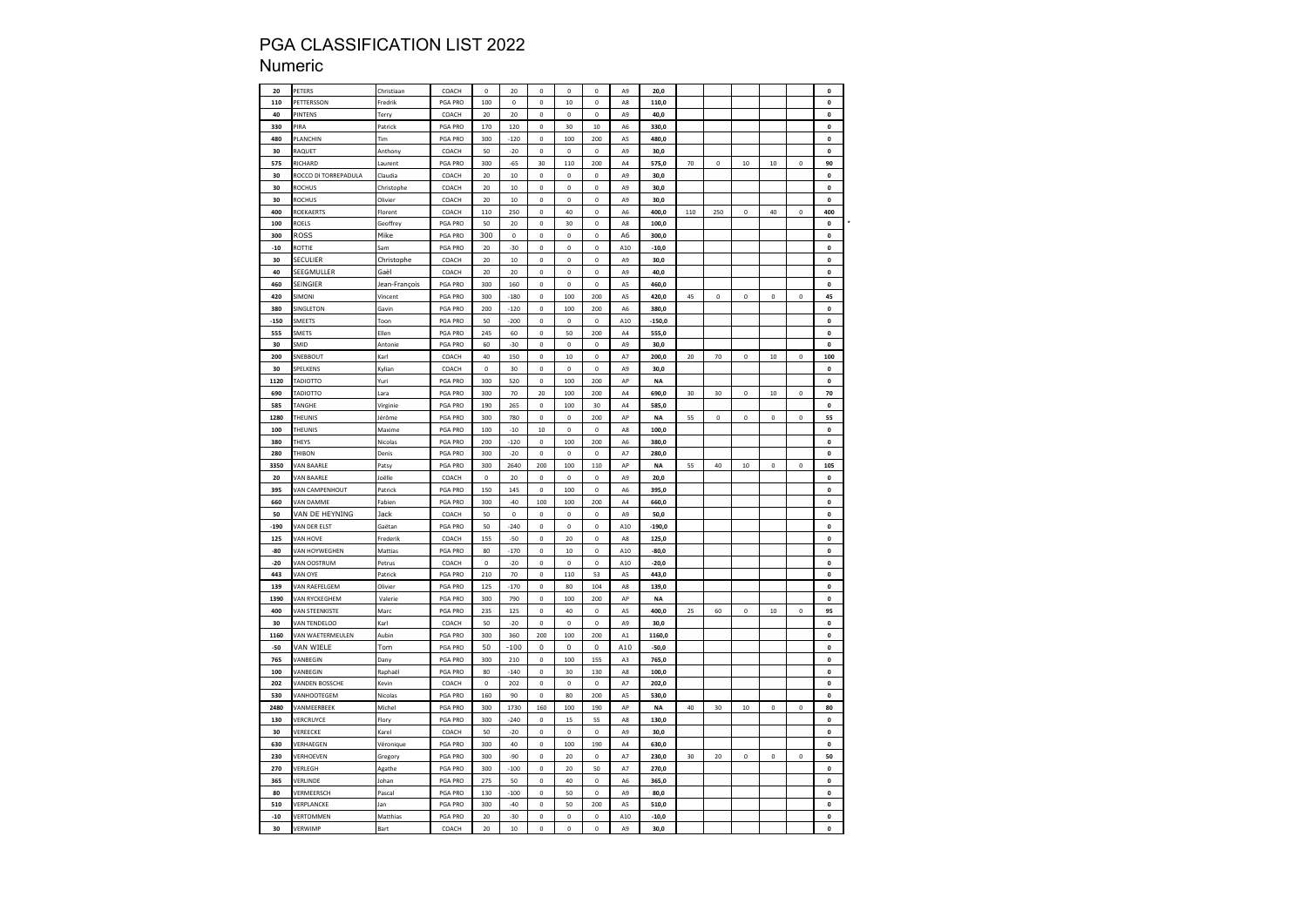### Numeric

| 20     |                       |                   |                |             |           |             |             |             |                |           |     |             |             |             |             |                    |
|--------|-----------------------|-------------------|----------------|-------------|-----------|-------------|-------------|-------------|----------------|-----------|-----|-------------|-------------|-------------|-------------|--------------------|
|        | PETERS                | Christiaan        | COACH          | $\pmb{0}$   | 20        | $\mathbf 0$ | $\pmb{0}$   | $\pmb{0}$   | A9             | 20,0      |     |             |             |             |             | $\pmb{\mathsf{o}}$ |
| 110    | <b>ETTERSSON</b>      | Fredrik           | PGA PRO        | 100         | 0         | $\mathbf 0$ | 10          | $\mathbf 0$ | A8             | 110,0     |     |             |             |             |             | 0                  |
| 40     | PINTENS               | Terry             | COACH          | 20          | 20        | $\mathbf 0$ | $\pmb{0}$   | $\mathbf 0$ | A9             | 40,0      |     |             |             |             |             | $\mathbf{0}$       |
| 330    | PIRA                  | Patrick           | PGA PRO        | 170         | 120       | $\mathbf 0$ | 30          | 10          | A6             | 330,0     |     |             |             |             |             | $\pmb{0}$          |
| 480    | PLANCHIN              | Tim               | PGA PRO        | 300         | $-120$    | $\Omega$    | 100         | 200         | A5             | 480.0     |     |             |             |             |             | $\mathbf 0$        |
| 30     | RAQUET                | Anthony           | COACH          | 50          | $-20$     | $\mathbf 0$ | $\pmb{0}$   | $\mathbf 0$ | A9             | 30,0      |     |             |             |             |             | $\pmb{0}$          |
|        |                       |                   |                |             |           |             |             |             |                |           |     |             |             |             |             |                    |
| 575    | RICHARD               | Laurent           | PGA PRO        | 300         | $-65$     | 30          | 110         | 200         | A4             | 575,0     | 70  | 0           | 10          | $10\,$      | 0           | 90                 |
| 30     | ROCCO DI TORREPADULA  | Claudia           | COACH          | 20          | 10        | 0           | 0           | 0           | A9             | 30,0      |     |             |             |             |             | $\pmb{\mathsf{o}}$ |
| 30     | ROCHUS                | Christophe        | COACH          | 20          | 10        | 0           | 0           | 0           | A9             | 30,0      |     |             |             |             |             | $\mathbf{0}$       |
| 30     | ROCHUS                | Olivier           | COACH          | 20          | 10        | $\mathbf 0$ | $\Omega$    | $\mathbf 0$ | A <sub>9</sub> | 30.0      |     |             |             |             |             | $\mathbf{0}$       |
| 400    | ROEKAERTS             | Florent           | COACH          | 110         | 250       | $\bf{0}$    | 40          | $\bf{0}$    | A <sub>6</sub> | 400,0     | 110 | 250         | $\theta$    | 40          | $\mathbf 0$ | 400                |
| 100    | ROELS                 | Geoffrey          | PGA PRO        | 50          | 20        | $\mathbf 0$ | 30          | $\mathbf 0$ | A8             | 100,0     |     |             |             |             |             | $\pmb{0}$          |
|        |                       |                   |                |             |           |             |             |             |                |           |     |             |             |             |             |                    |
| 300    | ROSS                  | Mike              | PGA PRO        | 300         | $\pmb{0}$ | 0           | 0           | 0           | А6             | 300,0     |     |             |             |             |             | $\pmb{0}$          |
| $-10$  | ROTTIE                | Sam               | PGA PRO        | 20          | -30       | 0           | 0           | $\mathbf 0$ | A10            | $-10,0$   |     |             |             |             |             | $\pmb{0}$          |
| 30     | SECULIER              | Christophe        | COACH          | 20          | 10        | $\mathbf 0$ | $\pmb{0}$   | $\mathbf 0$ | A9             | 30,0      |     |             |             |             |             | $\pmb{0}$          |
| 40     | SEEGMULLER            | Gaël              | COACH          | 20          | 20        | $\mathbf 0$ | $\mathbf 0$ | $\mathbf 0$ | A9             | 40,0      |     |             |             |             |             | $\pmb{\mathsf{o}}$ |
| 460    | SEINGIER              | Jean-François     | PGA PRO        | 300         | 160       | $\mathbf 0$ | $\pmb{0}$   | $\mathbf 0$ | A5             | 460,0     |     |             |             |             |             | $\pmb{\mathsf{o}}$ |
| 420    | <b>SIMONI</b>         | Vincent           | PGA PRO        | 300         | $-180$    | $\mathbf 0$ | 100         | 200         | A5             | 420,0     | 45  | $\pmb{0}$   | $\mathbf 0$ | $\pmb{0}$   | $\mathbf 0$ | 45                 |
|        |                       |                   |                |             |           |             |             |             |                |           |     |             |             |             |             |                    |
| 380    | <b>SINGLETON</b>      | Gavin             | PGA PRO        | 200         | $-120$    | 0           | 100         | 200         | A6             | 380,0     |     |             |             |             |             | $\pmb{0}$          |
| $-150$ | MEETS                 | Toon              | PGA PRO        | 50          | $-200$    | $\mathbf 0$ | $\pmb{0}$   | $\mathbf 0$ | A10            | $-150,0$  |     |             |             |             |             | $\pmb{\mathsf{o}}$ |
| 555    | SMETS                 | Ellen             | PGA PRO        | 245         | 60        | $\pmb{0}$   | 50          | 200         | A4             | 555,0     |     |             |             |             |             | $\pmb{0}$          |
| 30     | SMID                  | Antonie           | PGA PRO        | 60          | $-30$     | $\mathbf 0$ | $\pmb{0}$   | $\mathbf 0$ | A9             | 30.0      |     |             |             |             |             | $\mathbf 0$        |
| 200    | SNEBBOUT              | Karl              | COACH          | 40          | 150       | $\mathbf 0$ | 10          | $\mathbf 0$ | A7             | 200,0     | 20  | 70          | $\mathbf 0$ | $10\,$      | $\mathbf 0$ | 100                |
|        |                       |                   |                |             |           |             |             |             |                |           |     |             |             |             |             |                    |
| 30     | SPELKENS              | Kylian            | COACH          | $\mathbf 0$ | 30        | 0           | $\circ$     | $\mathbf 0$ | A9             | 30,0      |     |             |             |             |             | 0                  |
| 1120   | ADIOTTO               | Yuri              | PGA PRO        | 300         | 520       | $\mathbf 0$ | 100         | 200         | AP             | NA        |     |             |             |             |             | $\pmb{\mathsf{o}}$ |
| 690    | <b>TADIOTTO</b>       | Lara              | PGA PRO        | 300         | 70        | 20          | 100         | 200         | A4             | 690,0     | 30  | 30          | 0           | $10\,$      | 0           | 70                 |
| 585    | <b>ANGHE</b>          | Virginie          | <b>PGA PRO</b> | 190         | 265       | $\mathbf 0$ | 100         | 30          | A <sub>4</sub> | 585.0     |     |             |             |             |             | $\pmb{\mathsf{o}}$ |
| 1280   | THEUNIS               | Jérôme            | PGA PRO        | 300         | 780       | $\bf{0}$    | $\mathbf 0$ | 200         | AP             | <b>NA</b> | 55  | $\mathbf 0$ | $\bf{0}$    | $\pmb{0}$   | $\mathbf 0$ | 55                 |
| 100    | <b>THEUNIS</b>        | Maxime            | PGA PRO        | 100         | $-10$     | 10          | $\pmb{0}$   | $\pmb{0}$   | A8             | 100,0     |     |             |             |             |             | $\pmb{0}$          |
|        |                       |                   |                |             |           |             |             |             |                |           |     |             |             |             |             |                    |
| 380    | <b>THEYS</b>          | Nicolas           | PGA PRO        | 200         | $-120$    | 0           | 100         | 200         | A <sub>6</sub> | 380,0     |     |             |             |             |             | $\pmb{0}$          |
| 280    | <b>THIBON</b>         | Denis             | PGA PRO        | 300         | $-20$     | $\mathbf 0$ | $\pmb{0}$   | $\pmb{0}$   | A7             | 280,0     |     |             |             |             |             | $\pmb{0}$          |
| 3350   | <b>/AN BAARLE</b>     | Pats <sub>)</sub> | PGA PRO        | 300         | 2640      | 200         | 100         | 110         | AP             | <b>NA</b> | 55  | 40          | 10          | $\pmb{0}$   | $\mathbf 0$ | 105                |
| 20     | VAN BAARLE            | Joëlle            | COACH          | $\pmb{0}$   | 20        | $\mathbf 0$ | $\circ$     | $\mathbf 0$ | A <sub>9</sub> | 20.0      |     |             |             |             |             | $\mathbf{0}$       |
| 395    | VAN CAMPENHOUT        | Patrick           | PGA PRO        | 150         | 145       | $\mathbf 0$ | 100         | $\mathbf 0$ | A6             | 395,0     |     |             |             |             |             | $\pmb{0}$          |
| 660    | <b>VAN DAMME</b>      | Fabien            | PGA PRO        | 300         | $-40$     | 100         | 100         | 200         | A4             | 660,0     |     |             |             |             |             | $\pmb{\mathsf{o}}$ |
|        |                       |                   |                |             |           |             |             |             |                |           |     |             |             |             |             |                    |
| 50     | VAN DE HEYNING        |                   |                |             |           | $\mathbf 0$ | $\pmb{0}$   | $\mathbf 0$ | A9             | 50,0      |     |             |             |             |             |                    |
|        |                       | Jack              | COACH          | 50          | $\pmb{0}$ |             |             |             |                |           |     |             |             |             |             | $\pmb{0}$          |
| -190   | <b>VAN DER ELST</b>   | Gaëtan            | PGA PRO        | 50          | $-240$    | $\mathbf 0$ | $\pmb{0}$   | $\mathbf 0$ | A10            | $-190,0$  |     |             |             |             |             | $\pmb{0}$          |
| 125    | VAN HOVE              | Frederik          | COACH          | 155         | $-50$     | $\mathbf 0$ | 20          | $\mathbf 0$ | A8             | 125,0     |     |             |             |             |             | $\mathbf{0}$       |
| $-80$  | <b>VAN HOYWEGHEN</b>  | Mattias           | PGA PRO        | 80          | $-170$    | $\mathbf 0$ | 10          | $\mathbf 0$ | A10            | $-80.0$   |     |             |             |             |             | $\mathbf 0$        |
|        |                       |                   |                |             |           |             |             |             |                |           |     |             |             |             |             |                    |
| $-20$  | <b>VAN OOSTRUM</b>    | Petrus            | COACH          | 0           | $-20$     | $\mathbf 0$ | $\pmb{0}$   | $\mathbf 0$ | A10            | $-20,0$   |     |             |             |             |             | $\pmb{\mathsf{o}}$ |
| 443    | <b>VAN OYE</b>        | Patrick           | PGA PRO        | 210         | 70        | $\mathbf 0$ | 110         | 53          | A5             | 443,0     |     |             |             |             |             | $\pmb{\mathsf{o}}$ |
| 139    | <b>/AN RAEFELGEM</b>  | Olivier           | PGA PRO        | 125         | $-170$    | $\mathbf 0$ | 80          | 104         | A8             | 139,0     |     |             |             |             |             | $\pmb{\mathsf{o}}$ |
| 1390   | VAN RYCKEGHEM         | Valerie           | PGA PRO        | 300         | 790       | $\mathbf 0$ | 100         | 200         | $\mathsf{AP}$  | <b>NA</b> |     |             |             |             |             | $\pmb{0}$          |
| 400    | VAN STEENKISTE        | Marc              | PGA PRO        | 235         | 125       | $\mathbf 0$ | 40          | $\mathbf 0$ | A5             | 400.0     | 25  | 60          | $\mathbf 0$ | 10          | $\mathbf 0$ | 95                 |
| 30     | VAN TENDELOO          | Karl              | COACH          | 50          | $-20$     | $\bf{0}$    | $\pmb{0}$   | $\pmb{0}$   | A9             | 30,0      |     |             |             |             |             | $\pmb{0}$          |
|        |                       |                   |                |             |           |             |             |             |                |           |     |             |             |             |             |                    |
| 1160   | VAN WAETERMEULEN      | Aubin             | PGA PRO        | 300         | 360       | 200         | 100         | 200         | A1             | 1160,0    |     |             |             |             |             | $\pmb{\mathsf{o}}$ |
| -50    | VAN WIELE             | Tom               | <b>PGA PRO</b> | 50          | $-100$    | 0           | 0           | 0           | A10            | -50,0     |     |             |             |             |             | $\mathbf 0$        |
| 765    | VANBEGIN              | Dany              | PGA PRO        | 300         | 210       | $\pmb{0}$   | 100         | 155         | A3             | 765,0     |     |             |             |             |             | $\pmb{0}$          |
| 100    | VANBEGIN              | Raphaël           | <b>PGA PRO</b> | 80          | $-140$    | $\Omega$    | 30          | 130         | A <sub>8</sub> | 100.0     |     |             |             |             |             | $\pmb{0}$          |
| 202    | <b>VANDEN BOSSCHE</b> | Kevin             | COACH          | $\pmb{0}$   | 202       | $\mathbf 0$ | $\mathbf 0$ | $\mathbf 0$ | A7             | 202,0     |     |             |             |             |             | $\pmb{\mathsf{o}}$ |
|        |                       |                   | <b>PGA PRO</b> |             |           |             |             |             |                |           |     |             |             |             |             |                    |
| 530    | VANHOOTEGEM           | Nicolas           |                | 160         | 90        | $\mathbf 0$ | 80          | 200         | A5             | 530,0     |     |             |             |             |             | $\pmb{\mathsf{o}}$ |
| 2480   | VANMEERBEEK           | Michel            | PGA PRO        | 300         | 1730      | 160         | 100         | 190         | AP             | <b>NA</b> | 40  | 30          | 10          | 0           | $\mathbf 0$ | 80                 |
| 130    | VERCRUYCE             | Flory             | PGA PRO        | 300         | $-240$    | 0           | 15          | 55          | A8             | 130,0     |     |             |             |             |             | 0                  |
| 30     | VEREECKE              | Karel             | COACH          | 50          | $-20$     | $\mathbf 0$ | $\Omega$    | $\mathbf 0$ | A <sub>9</sub> | 30,0      |     |             |             |             |             | $\pmb{\mathsf{o}}$ |
| 630    | VERHAFGEN             | Véronique         | PGA PRO        | 300         | 40        | $\Omega$    | 100         | 190         | AA             | 630.0     |     |             |             |             |             | $\pmb{\mathsf{o}}$ |
| 230    | VERHOEVEN             |                   | PGA PRO        | 300         | -90       | $\mathbf 0$ | 20          | $\mathbf 0$ | A7             | 230.0     | 30  | 20          | $\mathbf 0$ | $\mathbf 0$ | $\mathbf 0$ | 50                 |
|        |                       | Gregory           |                |             |           |             |             |             |                |           |     |             |             |             |             |                    |
| 270    | <b>VERLEGH</b>        | Agathe            | PGA PRO        | 300         | $-100$    | $\mathbf 0$ | 20          | 50          | A7             | 270,0     |     |             |             |             |             | $\pmb{0}$          |
| 365    | VERLINDE              | Johan             | PGA PRO        | 275         | 50        | $\mathbf 0$ | 40          | $\mathbf 0$ | A6             | 365,0     |     |             |             |             |             | $\mathbf{0}$       |
| 80     | VERMEERSCH            | Pascal            | PGA PRO        | 130         | $-100$    | $\mathbf 0$ | 50          | $\mathbf 0$ | A9             | 80,0      |     |             |             |             |             | $\pmb{0}$          |
| 510    | VERPLANCKE            | Jan               | PGA PRO        | 300         | $-40$     | $\mathbf 0$ | 50          | 200         | A5             | 510,0     |     |             |             |             |             | $\pmb{\mathsf{o}}$ |
| $-10$  | VERTOMMEN             | Matthias          | PGA PRO        | 20          | $-30$     | $\mathbf 0$ | $\mathbf 0$ | $\mathbf 0$ | A10            | $-10,0$   |     |             |             |             |             | $\mathbf 0$        |